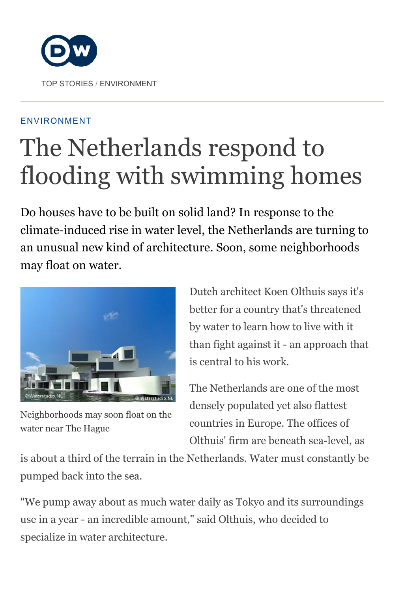

#### ENVIRONMENT

# The Netherlands respond to flooding with swimming homes

Do houses have to be built on solid land? In response to the climate-induced rise in water level, the Netherlands are turning to an unusual new kind of architecture. Soon, some neighborhoods may float on water.



Neighborhoods may soon float on the water near The Hague

Dutch architect Koen Olthuis says it's better for a country that's threatened by water to learn how to live with it than fight against it - an approach that is central to his work.

The Netherlands are one of the most densely populated yet also flattest countries in Europe. The offices of Olthuis' firm are beneath sea-level, as

is about a third of the terrain in the Netherlands. Water must constantly be pumped back into the sea.

"We pump away about as much water daily as Tokyo and its surroundings use in a year - an incredible amount," said Olthuis, who decided to specialize in water architecture.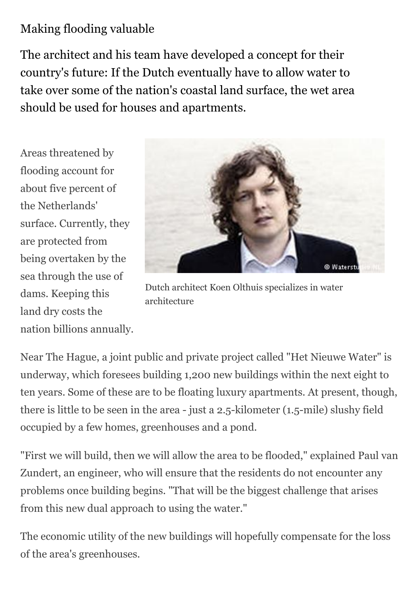## Making flooding valuable

The architect and his team have developed a concept for their country's future: If the Dutch eventually have to allow water to take over some of the nation's coastal land surface, the wet area should be used for houses and apartments.

Areas threatened by flooding account for about five percent of the Netherlands' surface. Currently, they are protected from being overtaken by the sea through the use of dams. Keeping this land dry costs the nation billions annually.



Dutch architect Koen Olthuis specializes in water architecture

Near The Hague, a joint public and private project called "Het Nieuwe Water" is underway, which foresees building 1,200 new buildings within the next eight to ten years. Some of these are to be floating luxury apartments. At present, though, there is little to be seen in the area - just a 2.5-kilometer (1.5-mile) slushy field occupied by a few homes, greenhouses and a pond.

"First we will build, then we will allow the area to be flooded," explained Paul van Zundert, an engineer, who will ensure that the residents do not encounter any problems once building begins. "That will be the biggest challenge that arises from this new dual approach to using the water."

The economic utility of the new buildings will hopefully compensate for the loss of the area's greenhouses.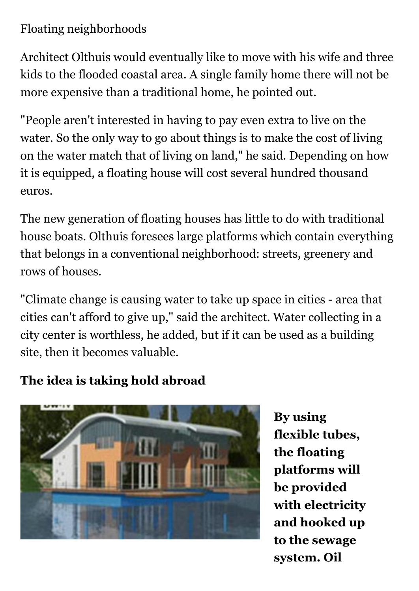## Floating neighborhoods

Architect Olthuis would eventually like to move with his wife and three kids to the flooded coastal area. A single family home there will not be more expensive than a traditional home, he pointed out.

"People aren't interested in having to pay even extra to live on the water. So the only way to go about things is to make the cost of living on the water match that of living on land," he said. Depending on how it is equipped, a floating house will cost several hundred thousand euros.

The new generation of floating houses has little to do with traditional house boats. Olthuis foresees large platforms which contain everything that belongs in a conventional neighborhood: streets, greenery and rows of houses.

"Climate change is causing water to take up space in cities - area that cities can't afford to give up," said the architect. Water collecting in a city center is worthless, he added, but if it can be used as a building site, then it becomes valuable.

### The idea is taking hold abroad



By using flexible tubes, the floating platforms will be provided with electricity and hooked up to the sewage system. Oil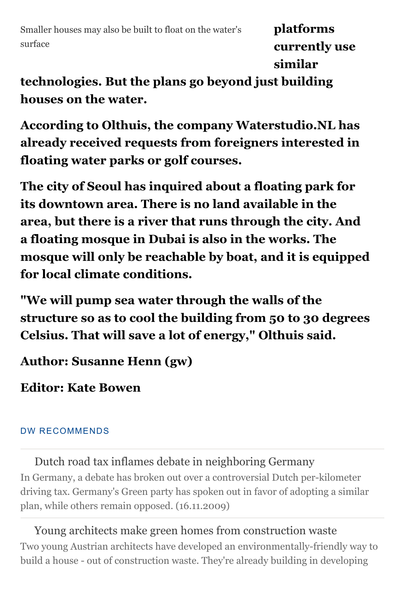Smaller houses may also be built to float on the water's surface

platforms currently use similar

technologies. But the plans go beyond just building houses on the water.

According to Olthuis, the company Waterstudio.NL has already received requests from foreigners interested in floating water parks or golf courses.

The city of Seoul has inquired about a floating park for its downtown area. There is no land available in the area, but there is a river that runs through the city. And a floating mosque in Dubai is also in the works. The mosque will only be reachable by boat, and it is equipped for local climate conditions.

"We will pump sea water through the walls of the structure so as to cool the building from 50 to 30 degrees Celsius. That will save a lot of energy," Olthuis said.

Author: Susanne Henn (gw)

Editor: Kate Bowen

#### DW RECOMMENDS

Dutch road tax inflames debate in neighboring Germany In Germany, a debate has broken out over a controversial Dutch per-kilometer [driving tax. Germany's Green party has spoken out in favor of adopting a similar](http://www.dw.com/en/dutch-road-tax-inflames-debate-in-neighboring-germany/a-4896686) plan, while others remain opposed. (16.11.2009)

Young architects make green homes from construction waste [Two young Austrian architects have developed an environmentally-friendly way to](http://www.dw.com/en/young-architects-make-green-homes-from-construction-waste/a-4809117) build a house - out of construction waste. They're already building in developing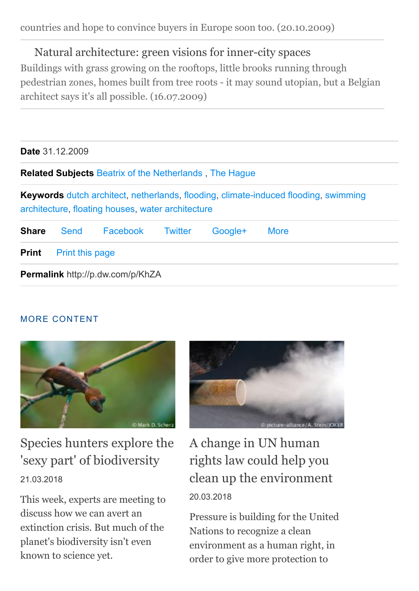#### Natural architecture: green visions for inner-city spaces

Buildings with grass growing on the rooftops, little brooks running through [pedestrian zones, homes built from tree roots - it may sound utopian, but a Belgian](http://www.dw.com/en/natural-architecture-green-visions-for-inner-city-spaces/a-4493292) architect says it's all possible. (16.07.2009)

| <b>Date</b> 31.12.2009 |                 |                                                               |                |         |                                                                                            |  |
|------------------------|-----------------|---------------------------------------------------------------|----------------|---------|--------------------------------------------------------------------------------------------|--|
|                        |                 | <b>Related Subjects Beatrix of the Netherlands, The Hague</b> |                |         |                                                                                            |  |
|                        |                 | architecture, floating houses, water architecture             |                |         | <b>Keywords</b> dutch architect, netherlands, flooding, climate-induced flooding, swimming |  |
| <b>Share</b>           | Send            | Facebook                                                      | <b>Twitter</b> | Google+ | <b>More</b>                                                                                |  |
| <b>Print</b>           | Print this page |                                                               |                |         |                                                                                            |  |
|                        |                 | <b>Permalink</b> http://p.dw.com/p/KhZA                       |                |         |                                                                                            |  |

#### MORE CONTENT



[Species hunters explore the](http://www.dw.com/en/species-hunters-explore-the-sexy-part-of-biodiversity/a-42960093) 'sexy part' of biodiversity 21.03.2018

This week, experts are meeting to discuss how we can avert an extinction crisis. But much of the planet's biodiversity isn't even known to science yet.



A change in UN human rights law could help you [clean up the environment](http://www.dw.com/en/a-change-in-un-human-rights-law-could-help-you-clean-up-the-environment/a-43047850) 20.03.2018

Pressure is building for the United Nations to recognize a clean environment as a human right, in order to give more protection to